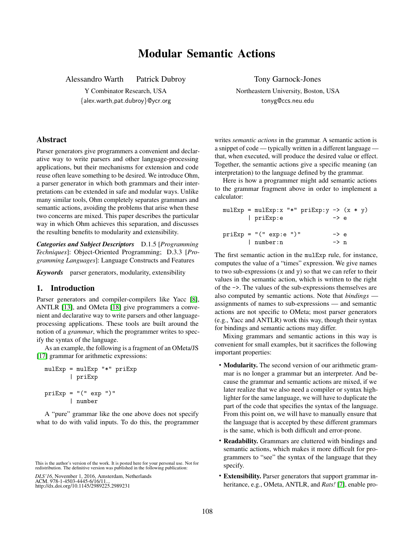# Modular Semantic Actions

Alessandro Warth Patrick Dubroy

Y Combinator Research, USA {alex.warth,pat.dubroy}@ycr.org Tony Garnock-Jones

Northeastern University, Boston, USA tonyg@ccs.neu.edu

# Abstract

Parser generators give programmers a convenient and declarative way to write parsers and other language-processing applications, but their mechanisms for extension and code reuse often leave something to be desired. We introduce Ohm, a parser generator in which both grammars and their interpretations can be extended in safe and modular ways. Unlike many similar tools, Ohm completely separates grammars and semantic actions, avoiding the problems that arise when these two concerns are mixed. This paper describes the particular way in which Ohm achieves this separation, and discusses the resulting benefits to modularity and extensibility.

*Categories and Subject Descriptors* D.1.5 [*Programming Techniques*]: Object-Oriented Programming; D.3.3 [*Programming Languages*]: Language Constructs and Features

*Keywords* parser generators, modularity, extensibility

## 1. Introduction

Parser generators and compiler-compilers like Yacc [\[8\]](#page-11-0), ANTLR [\[13\]](#page-11-1), and OMeta [\[18\]](#page-11-2) give programmers a convenient and declarative way to write parsers and other languageprocessing applications. These tools are built around the notion of a *grammar*, which the programmer writes to specify the syntax of the language.

As an example, the following is a fragment of an OMeta/JS [\[17\]](#page-11-3) grammar for arithmetic expressions:

```
mulExp = mulExp "*" priExp
       | priExp
priExp = "(" exp "")"| number
```
A "pure" grammar like the one above does not specify what to do with valid inputs. To do this, the programmer writes *semantic actions* in the grammar. A semantic action is a snippet of code — typically written in a different language that, when executed, will produce the desired value or effect. Together, the semantic actions give a specific meaning (an interpretation) to the language defined by the grammar.

Here is how a programmer might add semantic actions to the grammar fragment above in order to implement a calculator:

```
mulExp = mulExp:x "*" priExp:y \rightarrow (x * y)| priExp:e -> e
priExp = "(" exp:e ")" \t -> e| number:n -> n
```
The first semantic action in the mulExp rule, for instance, computes the value of a "times" expression. We give names to two sub-expressions  $(x \text{ and } y)$  so that we can refer to their values in the semantic action, which is written to the right of the ->. The values of the sub-expressions themselves are also computed by semantic actions. Note that *bindings* assignments of names to sub-expressions — and semantic actions are not specific to OMeta; most parser generators (e.g., Yacc and ANTLR) work this way, though their syntax for bindings and semantic actions may differ.

Mixing grammars and semantic actions in this way is convenient for small examples, but it sacrifices the following important properties:

- Modularity. The second version of our arithmetic grammar is no longer a grammar but an interpreter. And because the grammar and semantic actions are mixed, if we later realize that we also need a compiler or syntax highlighter for the same language, we will have to duplicate the part of the code that specifies the syntax of the language. From this point on, we will have to manually ensure that the language that is accepted by these different grammars is the same, which is both difficult and error-prone.
- **Readability.** Grammars are cluttered with bindings and semantic actions, which makes it more difficult for programmers to "see" the syntax of the language that they specify.
- Extensibility. Parser generators that support grammar inheritance, e.g., OMeta, ANTLR, and *Rats!* [\[7\]](#page-11-4), enable pro-

This is the author's version of the work. It is posted here for your personal use. Not for redistribution. The definitive version was published in the following publication:

*DLS'16*, November 1, 2016, Amsterdam, Netherlands ACM. 978-1-4503-4445-6/16/11... http://dx.doi.org/10.1145/2989225.2989231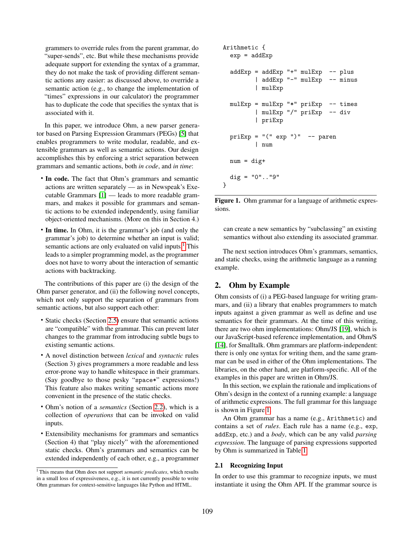grammers to override rules from the parent grammar, do "super-sends", etc. But while these mechanisms provide adequate support for extending the syntax of a grammar, they do not make the task of providing different semantic actions any easier: as discussed above, to override a semantic action (e.g., to change the implementation of "times" expressions in our calculator) the programmer has to duplicate the code that specifies the syntax that is associated with it.

In this paper, we introduce Ohm, a new parser generator based on Parsing Expression Grammars (PEGs) [\[5\]](#page-11-5) that enables programmers to write modular, readable, and extensible grammars as well as semantic actions. Our design accomplishes this by enforcing a strict separation between grammars and semantic actions, both *in code*, and *in time*:

- In code. The fact that Ohm's grammars and semantic actions are written separately — as in Newspeak's Executable Grammars [\[1\]](#page-11-6) — leads to more readable grammars, and makes it possible for grammars and semantic actions to be extended independently, using familiar object-oriented mechanisms. (More on this in Section 4.)
- In time. In Ohm, it is the grammar's job (and only the grammar's job) to determine whether an input is valid; semantic actions are only evaluated on valid inputs.<sup>[1](#page-1-0)</sup> This leads to a simpler programming model, as the programmer does not have to worry about the interaction of semantic actions with backtracking.

The contributions of this paper are (i) the design of the Ohm parser generator, and (ii) the following novel concepts, which not only support the separation of grammars from semantic actions, but also support each other:

- Static checks (Section [2.5\)](#page-5-0) ensure that semantic actions are "compatible" with the grammar. This can prevent later changes to the grammar from introducing subtle bugs to existing semantic actions.
- A novel distinction between *lexical* and *syntactic* rules (Section 3) gives programmers a more readable and less error-prone way to handle whitespace in their grammars. (Say goodbye to those pesky "space\*" expressions!) This feature also makes writing semantic actions more convenient in the presence of the static checks.
- Ohm's notion of a *semantics* (Section [2.2\)](#page-2-0), which is a collection of *operations* that can be invoked on valid inputs.
- Extensibility mechanisms for grammars and semantics (Section 4) that "play nicely" with the aforementioned static checks. Ohm's grammars and semantics can be extended independently of each other, e.g., a programmer

```
Arithmetic {
  exp = addExpaddExp = addExp "++" mulExp -- plus| addExp "-" mulExp -- minus
         | mulExp
 mulExp = mulExp "*" priExp -- times
         | mulExp "/" priExp -- div
         | priExp
 priExp = "(" exp ")" -- paren| num
 num = dig+dig = "0".."9"
}
```
<span id="page-1-1"></span>Figure 1. Ohm grammar for a language of arithmetic expressions.

can create a new semantics by "subclassing" an existing semantics without also extending its associated grammar.

The next section introduces Ohm's grammars, semantics, and static checks, using the arithmetic language as a running example.

# 2. Ohm by Example

Ohm consists of (i) a PEG-based language for writing grammars, and (ii) a library that enables programmers to match inputs against a given grammar as well as define and use semantics for their grammars. At the time of this writing, there are two ohm implementations: Ohm/JS [\[19\]](#page-11-7), which is our JavaScript-based reference implementation, and Ohm/S [\[14\]](#page-11-8), for Smalltalk. Ohm grammars are platform-independent: there is only one syntax for writing them, and the same grammar can be used in either of the Ohm implementations. The libraries, on the other hand, are platform-specific. All of the examples in this paper are written in Ohm/JS.

In this section, we explain the rationale and implications of Ohm's design in the context of a running example: a language of arithmetic expressions. The full grammar for this language is shown in Figure [1.](#page-1-1)

An Ohm grammar has a name (e.g., Arithmetic) and contains a set of *rules*. Each rule has a name (e.g., exp, addExp, etc.) and a *body*, which can be any valid *parsing expression*. The language of parsing expressions supported by Ohm is summarized in Table [1.](#page-2-1)

#### 2.1 Recognizing Input

In order to use this grammar to recognize inputs, we must instantiate it using the Ohm API. If the grammar source is

<span id="page-1-0"></span><sup>1</sup> This means that Ohm does not support *semantic predicates*, which results in a small loss of expressiveness, e.g., it is not currently possible to write Ohm grammars for context-sensitive languages like Python and HTML.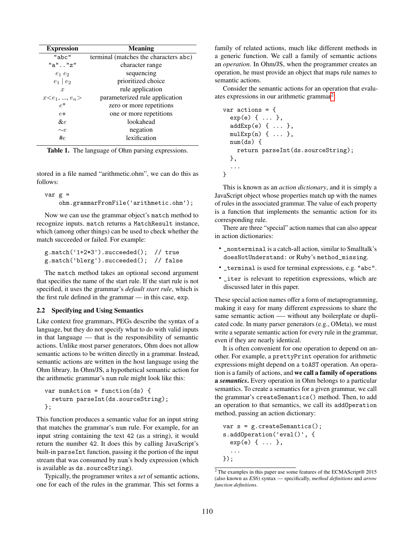| <b>Expression</b>   | <b>Meaning</b>                        |
|---------------------|---------------------------------------|
| "abc"               | terminal (matches the characters abc) |
| $"a"$ $"z"$         | character range                       |
| $e_1e_2$            | sequencing                            |
| $e_1 \mid e_2$      | prioritized choice                    |
| $\boldsymbol{x}$    | rule application                      |
| $x \leq e_1, , e_n$ | parameterized rule application        |
| $\rho^*$            | zero or more repetitions              |
| $e+$                | one or more repetitions               |
| $\&e$               | lookahead                             |
| $\sim e$            | negation                              |
| #e                  | lexification                          |

<span id="page-2-1"></span>Table 1. The language of Ohm parsing expressions.

stored in a file named "arithmetic.ohm", we can do this as follows:

```
var g =ohm.grammarFromFile('arithmetic.ohm');
```
Now we can use the grammar object's match method to recognize inputs. match returns a MatchResult instance, which (among other things) can be used to check whether the match succeeded or failed. For example:

| g.match('1+2*3').succeeded(); // true  |  |
|----------------------------------------|--|
| g.match('blerg').succeeded(); // false |  |

The match method takes an optional second argument that specifies the name of the start rule. If the start rule is not specified, it uses the grammar's *default start rule*, which is the first rule defined in the grammar — in this case, exp.

#### <span id="page-2-0"></span>2.2 Specifying and Using Semantics

Like context free grammars, PEGs describe the syntax of a language, but they do not specify what to do with valid inputs in that language — that is the responsibility of semantic actions. Unlike most parser generators, Ohm does not allow semantic actions to be written directly in a grammar. Instead, semantic actions are written in the host language using the Ohm library. In Ohm/JS, a hypothetical semantic action for the arithmetic grammar's num rule might look like this:

```
var numAction = function(ds) {
  return parseInt(ds.sourceString);
};
```
This function produces a semantic value for an input string that matches the grammar's num rule. For example, for an input string containing the text 42 (as a string), it would return the number 42. It does this by calling JavaScript's built-in parseInt function, passing it the portion of the input stream that was consumed by num's body expression (which is available as ds.sourceString).

Typically, the programmer writes a *set* of semantic actions, one for each of the rules in the grammar. This set forms a

family of related actions, much like different methods in a generic function. We call a family of semantic actions an *operation*. In Ohm/JS, when the programmer creates an operation, he must provide an object that maps rule names to semantic actions.

Consider the semantic actions for an operation that evalu-ates expressions in our arithmetic grammar<sup>[2](#page-2-2)</sup>:

```
var actions = \{exp(e) { ... },
  addExp(e) { ... },
  multexp(n) \{ \ldots \},
  num(ds) {
    return parseInt(ds.sourceString);
  },
  ...
}
```
This is known as an *action dictionary*, and it is simply a JavaScript object whose properties match up with the names of rules in the associated grammar. The value of each property is a function that implements the semantic action for its corresponding rule.

There are three "special" action names that can also appear in action dictionaries:

- \_nonterminal is a catch-all action, similar to Smalltalk's doesNotUnderstand: or Ruby's method\_missing.
- \_terminal is used for terminal expressions, e.g. "abc".
- \_iter is relevant to repetition expressions, which are discussed later in this paper.

These special action names offer a form of metaprogramming, making it easy for many different expressions to share the same semantic action —- without any boilerplate or duplicated code. In many parser generators (e.g., OMeta), we must write a separate semantic action for every rule in the grammar, even if they are nearly identical.

It is often convenient for one operation to depend on another. For example, a prettyPrint operation for arithmetic expressions might depend on a toAST operation. An operation is a family of actions, and we call a family of operations a *semantics*. Every operation in Ohm belongs to a particular semantics. To create a semantics for a given grammar, we call the grammar's createSemantics() method. Then, to add an operation to that semantics, we call its addOperation method, passing an action dictionary:

```
var s = g. createSemantics();
s.addOperation('eval()', {
  exp(e) { ... },
  ...
});
```
<span id="page-2-2"></span> $^2$  The examples in this paper use some features of the ECMAScript® 2015 (also known as *ES6*) syntax — specifically, *method definitions* and *arrow function definitions*.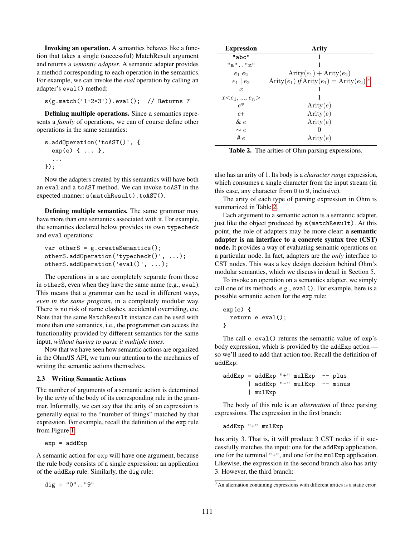Invoking an operation. A semantics behaves like a function that takes a single (successful) MatchResult argument and returns a *semantic adapter*. A semantic adapter provides a method corresponding to each operation in the semantics. For example, we can invoke the *eval* operation by calling an adapter's eval() method:

s(g.match('1+2\*3')).eval(); // Returns 7

Defining multiple operations. Since a semantics represents a *family* of operations, we can of course define other operations in the same semantics:

```
s.addOperation('toAST()', {
 exp(e) { ... },
  ...
});
```
Now the adapters created by this semantics will have both an eval and a toAST method. We can invoke toAST in the expected manner: s(matchResult).toAST().

Defining multiple semantics. The same grammar may have more than one semantics associated with it. For example, the semantics declared below provides its own typecheck and eval operations:

```
var otherS = g. createSemantics();
otherS.addOperation('typecheck()', ...);
otherS.addOperation('eval()', ...);
```
The operations in s are completely separate from those in otherS, even when they have the same name (e.g., eval). This means that a grammar can be used in different ways, *even in the same program*, in a completely modular way. There is no risk of name clashes, accidental overriding, etc. Note that the same MatchResult instance can be used with more than one semantics, i.e., the programmer can access the functionality provided by different semantics for the same input, *without having to parse it multiple times*.

Now that we have seen how semantic actions are organized in the Ohm/JS API, we turn our attention to the mechanics of writing the semantic actions themselves.

#### <span id="page-3-2"></span>2.3 Writing Semantic Actions

The number of arguments of a semantic action is determined by the *arity* of the body of its corresponding rule in the grammar. Informally, we can say that the arity of an expression is generally equal to the "number of things" matched by that expression. For example, recall the definition of the exp rule from Figure [1:](#page-1-1)

 $exp = addExp$ 

A semantic action for exp will have one argument, because the rule body consists of a single expression: an application of the addExp rule. Similarly, the dig rule:

dig = "0".."9"

| <b>Expression</b>   | Arity                                                       |
|---------------------|-------------------------------------------------------------|
| "abc"               | 1                                                           |
| "a""z"              |                                                             |
| $e_1e_2$            | $Arity(e_1) + Arity(e_2)$                                   |
| $e_1 \mid e_2$      | Arity $(e_1)$ if Arity $(e_1)$ = Arity $(e_2)$ <sup>3</sup> |
| $\boldsymbol{x}$    |                                                             |
| $x \leq e_1, , e_n$ |                                                             |
| $\rho^*$            | Arity(e)                                                    |
| $e+$                | Arity $(e)$                                                 |
| & e                 | Arity $(e)$                                                 |
| $\sim e$            | 0                                                           |
| # $e$               | Arity(e)                                                    |

<span id="page-3-1"></span>Table 2. The arities of Ohm parsing expressions.

also has an arity of 1. Its body is a *character range* expression, which consumes a single character from the input stream (in this case, any character from 0 to 9, inclusive).

The arity of each type of parsing expression in Ohm is summarized in Table [2.](#page-3-1)

Each argument to a semantic action is a semantic adapter, just like the object produced by s (matchResult). At this point, the role of adapters may be more clear: a semantic adapter is an interface to a concrete syntax tree (CST) node. It provides a way of evaluating semantic operations on a particular node. In fact, adapters are the *only* interface to CST nodes. This was a key design decision behind Ohm's modular semantics, which we discuss in detail in Section 5.

To invoke an operation on a semantics adapter, we simply call one of its methods, e.g., eval(). For example, here is a possible semantic action for the exp rule:

```
exp(e) {
  return e.eval();
}
```
The call e.eval() returns the semantic value of exp's body expression, which is provided by the addExp action so we'll need to add that action too. Recall the definition of addExp:

```
addExp = addExp "++" mulExp -- plus| addExp "-" mulExp -- minus
       | mulExp
```
The body of this rule is an *alternation* of three parsing expressions. The expression in the first branch:

```
addExp "+" mulExp
```
has arity 3. That is, it will produce 3 CST nodes if it successfully matches the input: one for the addExp application, one for the terminal "+", and one for the mulExp application. Likewise, the expression in the second branch also has arity 3. However, the third branch:

<span id="page-3-0"></span><sup>&</sup>lt;sup>3</sup> An alternation containing expressions with different arities is a static error.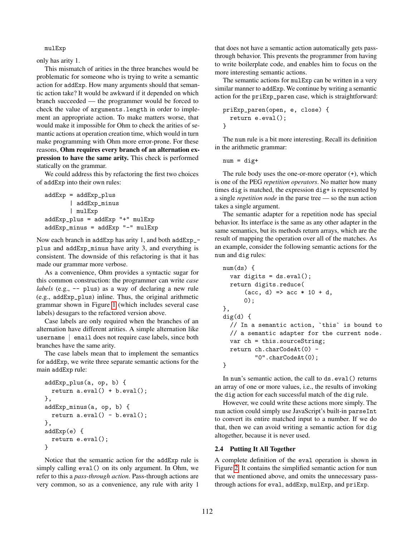#### mulExp

only has arity 1.

This mismatch of arities in the three branches would be problematic for someone who is trying to write a semantic action for addExp. How many arguments should that semantic action take? It would be awkward if it depended on which branch succeeded — the programmer would be forced to check the value of arguments.length in order to implement an appropriate action. To make matters worse, that would make it impossible for Ohm to check the arities of semantic actions at operation creation time, which would in turn make programming with Ohm more error-prone. For these reasons, Ohm requires every branch of an alternation expression to have the same arity. This check is performed statically on the grammar.

We could address this by refactoring the first two choices of addExp into their own rules:

```
addExp = addExp_plus
       | addExp_minus
       | mulExp
addExp_plus = addExp "+" mulExp
addExp_minus = addExp "-" mulExp
```
Now each branch in addExp has arity 1, and both addExp\_ plus and addExp\_minus have arity 3, and everything is consistent. The downside of this refactoring is that it has made our grammar more verbose.

As a convenience, Ohm provides a syntactic sugar for this common construction: the programmer can write *case labels* (e.g., -- plus) as a way of declaring a new rule (e.g., addExp\_plus) inline. Thus, the original arithmetic grammar shown in Figure [1](#page-1-1) (which includes several case labels) desugars to the refactored version above.

Case labels are only required when the branches of an alternation have different arities. A simple alternation like username | email does not require case labels, since both branches have the same arity.

The case labels mean that to implement the semantics for addExp, we write three separate semantic actions for the main addExp rule:

```
addExp_plus(a, op, b) {
 return a.eval() + b.eval();
},
addExp_minus(a, op, b) {
 return a.eval() - b.eval();
},
addExp(e) {
 return e.eval();
}
```
Notice that the semantic action for the addExp rule is simply calling eval () on its only argument. In Ohm, we refer to this a *pass-through action*. Pass-through actions are very common, so as a convenience, any rule with arity 1

that does not have a semantic action automatically gets passthrough behavior. This prevents the programmer from having to write boilerplate code, and enables him to focus on the more interesting semantic actions.

The semantic actions for mulExp can be written in a very similar manner to addExp. We continue by writing a semantic action for the priExp\_paren case, which is straightforward:

```
priExp_paren(open, e, close) {
 return e.eval();
}
```
The num rule is a bit more interesting. Recall its definition in the arithmetic grammar:

 $num = dig+$ 

The rule body uses the one-or-more operator (+), which is one of the PEG *repetition operators*. No matter how many times dig is matched, the expression dig+ is represented by a single *repetition node* in the parse tree — so the num action takes a single argument.

The semantic adapter for a repetition node has special behavior. Its interface is the same as any other adapter in the same semantics, but its methods return arrays, which are the result of mapping the operation over all of the matches. As an example, consider the following semantic actions for the num and dig rules:

```
num(ds) {
  var digits = ds.eval();
  return digits.reduce(
      (acc, d) \Rightarrow acc * 10 + d,
      (0):
},
dig(d) {
  // In a semantic action, `this` is bound to
  // a semantic adapter for the current node.
  var ch = this.sourceString;
  return ch.charCodeAt(0) -
         "0".charCodeAt(0);
}
```
In num's semantic action, the call to ds.eval() returns an array of one or more values, i.e., the results of invoking the dig action for each successful match of the dig rule.

However, we could write these actions more simply. The num action could simply use JavaScript's built-in parseInt to convert its entire matched input to a number. If we do that, then we can avoid writing a semantic action for dig altogether, because it is never used.

#### 2.4 Putting It All Together

A complete definition of the eval operation is shown in Figure [2.](#page-5-1) It contains the simplified semantic action for num that we mentioned above, and omits the unnecessary passthrough actions for eval, addExp, mulExp, and priExp.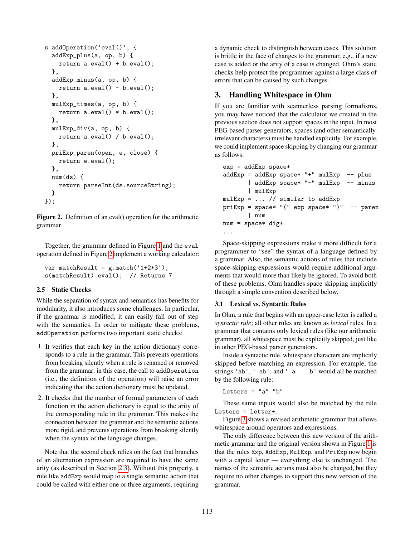```
s.addOperation('eval()', {
 addExp_plus(a, op, b) {
   return a.eval() + b.eval();
 },
 addExp_minus(a, op, b) {
   return a.eval() - b.eval();
 },
 mulExp_times(a, op, b) {
   return a.eval() * b.eval();
 },
 mulExp_div(a, op, b) {
   return a.eval() / b.eval();
 },
 priExp_paren(open, e, close) {
   return e.eval();
 },
 num(ds)return parseInt(ds.sourceString);
 }
});
```
<span id="page-5-1"></span>Figure 2. Definition of an eval() operation for the arithmetic grammar.

Together, the grammar defined in Figure [1](#page-1-1) and the eval operation defined in Figure [2](#page-5-1) implement a working calculator:

var matchResult =  $g.match('1+2*3');$ s(matchResult).eval(); // Returns 7

### <span id="page-5-0"></span>2.5 Static Checks

While the separation of syntax and semantics has benefits for modularity, it also introduces some challenges. In particular, if the grammar is modified, it can easily fall out of step with the semantics. In order to mitigate these problems, addOperation performs two important static checks:

- 1. It verifies that each key in the action dictionary corresponds to a rule in the grammar. This prevents operations from breaking silently when a rule is renamed or removed from the grammar: in this case, the call to addOperation (i.e., the definition of the operation) will raise an error indicating that the action dictionary must be updated.
- 2. It checks that the number of formal parameters of each function in the action dictionary is equal to the arity of the corresponding rule in the grammar. This makes the connection between the grammar and the semantic actions more rigid, and prevents operations from breaking silently when the syntax of the language changes.

Note that the second check relies on the fact that branches of an alternation expression are required to have the same arity (as described in Section [2.3\)](#page-3-2). Without this property, a rule like addExp would map to a single semantic action that could be called with either one or three arguments, requiring a dynamic check to distinguish between cases. This solution is brittle in the face of changes to the grammar, e.g., if a new case is added or the arity of a case is changed. Ohm's static checks help protect the programmer against a large class of errors that can be caused by such changes.

# 3. Handling Whitespace in Ohm

If you are familiar with scannerless parsing formalisms, you may have noticed that the calculator we created in the previous section does not support spaces in the input. In most PEG-based parser generators, spaces (and other semanticallyirrelevant characters) must be handled explicitly. For example, we could implement space skipping by changing our grammar as follows:

```
exp = addExp space*addExp = addExp space* "+" mulExp -- plus| addExp space* "-" mulExp -- minus
       | mulExp
mulExp = ... // similar to addExp
priExp = space* "(" exp space* ")" -- paren
       | num
num = space* dig+...
```
Space-skipping expressions make it more difficult for a programmer to "see" the syntax of a language defined by a grammar. Also, the semantic actions of rules that include space-skipping expressions would require additional arguments that would more than likely be ignored. To avoid both of these problems, Ohm handles space skipping implicitly through a simple convention described below.

#### 3.1 Lexical vs. Syntactic Rules

In Ohm, a rule that begins with an upper-case letter is called a *syntactic rule*; all other rules are known as *lexical* rules. In a grammar that contains only lexical rules (like our arithmetic grammar), all whitespace must be explicitly skipped, just like in other PEG-based parser generators.

Inside a syntactic rule, whitespace characters are implicitly skipped before matching an expression. For example, the strings 'ab', ' ab', and ' a b' would all be matched by the following rule:

```
Letters = "a" "b"
```
These same inputs would also be matched by the rule Letters = letter+.

Figure [3](#page-6-0) shows a revised arithmetic grammar that allows whitespace around operators and expressions.

The only difference between this new version of the arithmetic grammar and the original version shown in Figure [1](#page-1-1) is that the rules Exp, AddExp, MulExp, and PriExp now begin with a capital letter — everything else is unchanged. The names of the semantic actions must also be changed, but they require no other changes to support this new version of the grammar.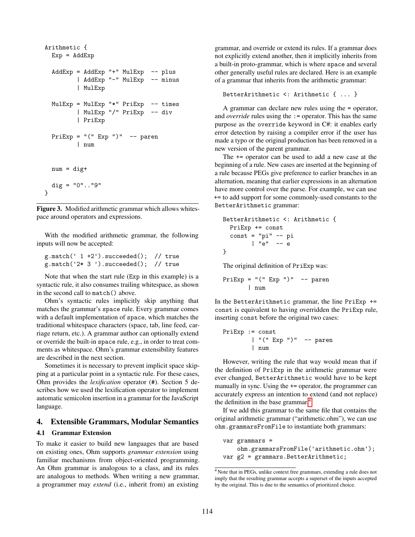```
Arithmetic {
 Exp = AddExpAddExp = AddExp "++" MulExp -- plus| AddExp "-" MulExp -- minus
         | MulExp
 MulExp = MulExp "*" PriExp -- times
         | MulExp "/" PriExp -- div
         | PriExp
 PriExp = "(" Exp ")" -- paren| num
 num = dig+dig = "0".."9"
}
```
<span id="page-6-0"></span>Figure 3. Modified arithmetic grammar which allows whitespace around operators and expressions.

With the modified arithmetic grammar, the following inputs will now be accepted:

```
g.match(' 1 +2').succeeded(); // true
g.match('2* 3 ').succeeded(); // true
```
Note that when the start rule (Exp in this example) is a syntactic rule, it also consumes trailing whitespace, as shown in the second call to match() above.

Ohm's syntactic rules implicitly skip anything that matches the grammar's space rule. Every grammar comes with a default implementation of space, which matches the traditional whitespace characters (space, tab, line feed, carriage return, etc.). A grammar author can optionally extend or override the built-in space rule, e.g., in order to treat comments as whitespace. Ohm's grammar extensibility features are described in the next section.

Sometimes it is necessary to prevent implicit space skipping at a particular point in a syntactic rule. For these cases, Ohm provides the *lexification* operator (#). Section 5 describes how we used the lexification operator to implement automatic semicolon insertion in a grammar for the JavaScript language.

### 4. Extensible Grammars, Modular Semantics

#### 4.1 Grammar Extension

To make it easier to build new languages that are based on existing ones, Ohm supports *grammar extension* using familiar mechanisms from object-oriented programming. An Ohm grammar is analogous to a class, and its rules are analogous to methods. When writing a new grammar, a programmer may *extend* (i.e., inherit from) an existing grammar, and override or extend its rules. If a grammar does not explicitly extend another, then it implicitly inherits from a built-in proto-grammar, which is where space and several other generally useful rules are declared. Here is an example of a grammar that inherits from the arithmetic grammar:

```
BetterArithmetic <: Arithmetic { ... }
```
A grammar can declare new rules using the = operator, and *override* rules using the := operator. This has the same purpose as the override keyword in C#: it enables early error detection by raising a compiler error if the user has made a typo or the original production has been removed in a new version of the parent grammar.

The += operator can be used to add a new case at the beginning of a rule. New cases are inserted at the beginning of a rule because PEGs give preference to earlier branches in an alternation, meaning that earlier expressions in an alternation have more control over the parse. For example, we can use += to add support for some commonly-used constants to the BetterArithmetic grammar:

```
BetterArithmetic <: Arithmetic {
 PriExp += const
  const = "pi" -- pi| "e" -- e}
```
The original definition of PriExp was:

```
PriExp = "(" Exp "")" -- paren| num
```
In the BetterArithmetic grammar, the line PriExp += const is equivalent to having overridden the PriExp rule, inserting const before the original two cases:

```
PriExp := const
        | "(" Exp ")" -- paren
        | num
```
However, writing the rule that way would mean that if the definition of PriExp in the arithmetic grammar were ever changed, BetterArithmetic would have to be kept manually in sync. Using the  $+=$  operator, the programmer can accurately express an intention to extend (and not replace) the definition in the base grammar.<sup>[4](#page-6-1)</sup>

If we add this grammar to the same file that contains the original arithmetic grammar ("arithmetic.ohm"), we can use ohm.grammarsFromFile to instantiate both grammars:

```
var grammars =
    ohm.grammarsFromFile('arithmetic.ohm');
var g2 = grammars. BetterArithmetic;
```
<span id="page-6-1"></span><sup>4</sup> Note that in PEGs, unlike context free grammars, extending a rule does not imply that the resulting grammar accepts a superset of the inputs accepted by the original. This is due to the semantics of prioritized choice.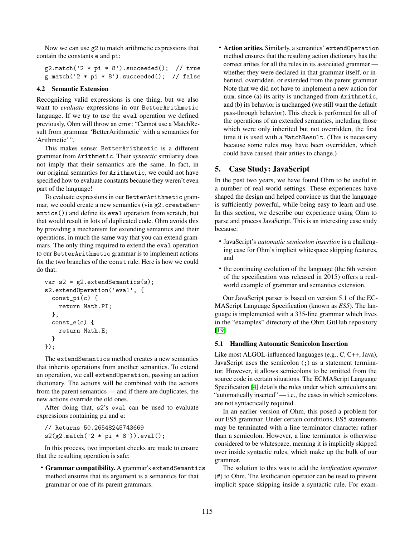Now we can use g2 to match arithmetic expressions that contain the constants e and pi:

```
g2.\text{match}(2 * pi * 8'). succeeded(); // true
g.\text{match}(2 * pi * 8'). succeeded(); // false
```
## 4.2 Semantic Extension

Recognizing valid expressions is one thing, but we also want to *evaluate* expressions in our BetterArithmetic language. If we try to use the eval operation we defined previously, Ohm will throw an error: "Cannot use a MatchResult from grammar 'BetterArithmetic' with a semantics for 'Arithmetic' ".

This makes sense: BetterArithmetic is a different grammar from Arithmetic. Their *syntactic* similarity does not imply that their semantics are the same. In fact, in our original semantics for Arithmetic, we could not have specified how to evaluate constants because they weren't even part of the language!

To evaluate expressions in our BetterArithmetic grammar, we could create a new semantics (via g2.createSemantics()) and define its eval operation from scratch, but that would result in lots of duplicated code. Ohm avoids this by providing a mechanism for extending semantics and their operations, in much the same way that you can extend grammars. The only thing required to extend the eval operation to our BetterArithmetic grammar is to implement actions for the two branches of the const rule. Here is how we could do that:

```
var s2 = g2. extendSemantics(s);
s2.extendOperation('eval', {
 const_pi(c) {
    return Math.PI;
 },
 const_e(c) {
    return Math.E;
 }
});
```
The extendSemantics method creates a new semantics that inherits operations from another semantics. To extend an operation, we call extendOperation, passing an action dictionary. The actions will be combined with the actions from the parent semantics — and if there are duplicates, the new actions override the old ones.

After doing that, s2's eval can be used to evaluate expressions containing pi and e:

// Returns 50.26548245743669  $s2(g2.\text{match}( '2 * pi * 8' ) ).eval();$ 

In this process, two important checks are made to ensure that the resulting operation is safe:

• Grammar compatibility. A grammar's extendSemantics method ensures that its argument is a semantics for that grammar or one of its parent grammars.

• Action arities. Similarly, a semantics' extendOperation method ensures that the resulting action dictionary has the correct arities for all the rules in its associated grammar whether they were declared in that grammar itself, or inherited, overridden, or extended from the parent grammar. Note that we did not have to implement a new action for num, since (a) its arity is unchanged from Arithmetic, and (b) its behavior is unchanged (we still want the default pass-through behavior). This check is performed for all of the operations of an extended semantics, including those which were only inherited but not overridden, the first time it is used with a MatchResult. (This is necessary because some rules may have been overridden, which could have caused their arities to change.)

# 5. Case Study: JavaScript

In the past two years, we have found Ohm to be useful in a number of real-world settings. These experiences have shaped the design and helped convince us that the language is sufficiently powerful, while being easy to learn and use. In this section, we describe our experience using Ohm to parse and process JavaScript. This is an interesting case study because:

- JavaScript's *automatic semicolon insertion* is a challenging case for Ohm's implicit whitespace skipping features, and
- the continuing evolution of the language (the 6th version of the specification was released in 2015) offers a realworld example of grammar and semantics extension.

Our JavaScript parser is based on version 5.1 of the EC-MAScript Language Specification (known as *ES5*). The language is implemented with a 335-line grammar which lives in the "examples" directory of the Ohm GitHub repository [\[19\]](#page-11-7).

### 5.1 Handling Automatic Semicolon Insertion

Like most ALGOL-influenced languages (e.g., C, C++, Java), JavaScript uses the semicolon (;) as a statement terminator. However, it allows semicolons to be omitted from the source code in certain situations. The ECMAScript Language Specification [\[4\]](#page-11-9) details the rules under which semicolons are "automatically inserted" $-$ i.e., the cases in which semicolons are not syntactically required.

In an earlier version of Ohm, this posed a problem for our ES5 grammar. Under certain conditions, ES5 statements may be terminated with a line terminator character rather than a semicolon. However, a line terminator is otherwise considered to be whitespace, meaning it is implicitly skipped over inside syntactic rules, which make up the bulk of our grammar.

The solution to this was to add the *lexification operator* (#) to Ohm. The lexification operator can be used to prevent implicit space skipping inside a syntactic rule. For exam-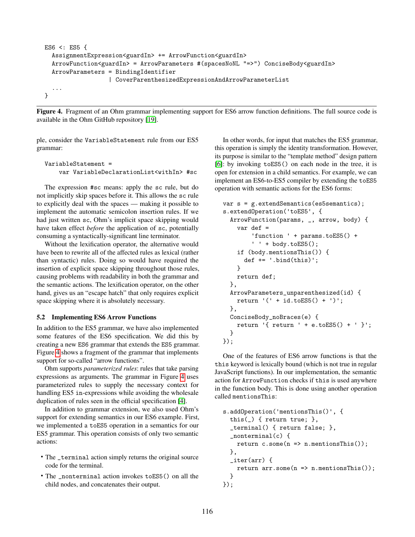```
ES6 <: ES5 {
 AssignmentExpression<guardIn> += ArrowFunction<guardIn>
 ArrowFunction<guardIn> = ArrowParameters #(spacesNoNL "=>") ConciseBody<guardIn>
 ArrowParameters = BindingIdentifier
                  | CoverParenthesizedExpressionAndArrowParameterList
  ...
}
```
<span id="page-8-0"></span>Figure 4. Fragment of an Ohm grammar implementing support for ES6 arrow function definitions. The full source code is available in the Ohm GitHub repository [\[19\]](#page-11-7).

ple, consider the VariableStatement rule from our ES5 grammar:

```
VariableStatement =
    var VariableDeclarationList<withIn> #sc
```
The expression #sc means: apply the sc rule, but do not implicitly skip spaces before it. This allows the sc rule to explicitly deal with the spaces — making it possible to implement the automatic semicolon insertion rules. If we had just written sc, Ohm's implicit space skipping would have taken effect *before* the application of sc, potentially consuming a syntactically-significant line terminator.

Without the lexification operator, the alternative would have been to rewrite all of the affected rules as lexical (rather than syntactic) rules. Doing so would have required the insertion of explicit space skipping throughout those rules, causing problems with readability in both the grammar and the semantic actions. The lexification operator, on the other hand, gives us an "escape hatch" that only requires explicit space skipping where it is absolutely necessary.

#### 5.2 Implementing ES6 Arrow Functions

In addition to the ES5 grammar, we have also implemented some features of the ES6 specification. We did this by creating a new ES6 grammar that extends the ES5 grammar. Figure [4](#page-8-0) shows a fragment of the grammar that implements support for so-called "arrow functions".

Ohm supports *parameterized rules*: rules that take parsing expressions as arguments. The grammar in Figure [4](#page-8-0) uses parameterized rules to supply the necessary context for handling ES5 in-expressions while avoiding the wholesale duplication of rules seen in the official specification [\[4\]](#page-11-9).

In addition to grammar extension, we also used Ohm's support for extending semantics in our ES6 example. First, we implemented a toES5 operation in a semantics for our ES5 grammar. This operation consists of only two semantic actions:

- The \_terminal action simply returns the original source code for the terminal.
- The \_nonterminal action invokes toES5() on all the child nodes, and concatenates their output.

In other words, for input that matches the ES5 grammar, this operation is simply the identity transformation. However, its purpose is similar to the "template method" design pattern [\[6\]](#page-11-10): by invoking toES5() on each node in the tree, it is open for extension in a child semantics. For example, we can implement an ES6-to-ES5 compiler by extending the toES5 operation with semantic actions for the ES6 forms:

```
var s = g.extendSemantics(es5semantics);
s.extendOperation('toES5', {
 ArrowFunction(params, _, arrow, body) {
   var def =
        'function ' + params.toES5() +
        ' + body.toES5();
    if (body.mentionsThis()) {
      def += ' .bind(this)';}
   return def;
 },
 ArrowParameters_unparenthesized(id) {
   return '(' + id.toES5() + ')';
 },
 ConciseBody_noBraces(e) {
   return '{ return ' + e.toES5() + ' }';
 }
});
```
One of the features of ES6 arrow functions is that the this keyword is lexically bound (which is not true in regular JavaScript functions). In our implementation, the semantic action for ArrowFunction checks if this is used anywhere in the function body. This is done using another operation called mentionsThis:

```
s.addOperation('mentionsThis()', {
  this(_) { return true; },
  _terminal() { return false; },
  _nonterminal(c) {
    return c.some(n \Rightarrow n.mentionsThis());
  },
  iter(arr) {
    return arr.some(n \Rightarrow n.mentionsThis());
  }
});
```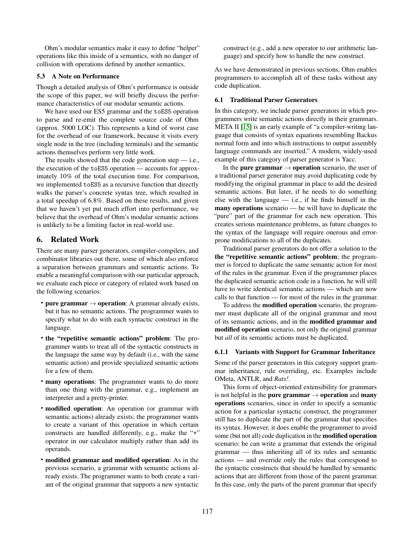Ohm's modular semantics make it easy to define "helper" operations like this inside of a semantics, with no danger of collision with operations defined by another semantics.

#### 5.3 A Note on Performance

Though a detailed analysis of Ohm's performance is outside the scope of this paper, we will briefly discuss the performance characteristics of our modular semantic actions.

We have used our ES5 grammar and the toES5 operation to parse and re-emit the complete source code of Ohm (approx. 5000 LOC). This represents a kind of worst case for the overhead of our framework, because it visits every single node in the tree (including terminals) and the semantic actions themselves perform very little work.

The results showed that the code generation step  $-$  i.e., the execution of the toES5 operation — accounts for approximately 10% of the total execution time. For comparison, we implemented toES5 as a recursive function that directly walks the parser's concrete syntax tree, which resulted in a total speedup of 6.8%. Based on these results, and given that we haven't yet put much effort into performance, we believe that the overhead of Ohm's modular semantic actions is unlikely to be a limiting factor in real-world use.

# 6. Related Work

There are many parser generators, compiler-compilers, and combinator libraries out there, some of which also enforce a separation between grammars and semantic actions. To enable a meaningful comparison with our particular approach, we evaluate each piece or category of related work based on the following scenarios:

- pure grammar  $\rightarrow$  operation: A grammar already exists, but it has no semantic actions. The programmer wants to specify what to do with each syntactic construct in the language.
- the "repetitive semantic actions" problem: The programmer wants to treat all of the syntactic constructs in the language the same way by default (i.e., with the same semantic action) and provide specialized semantic actions for a few of them.
- many operations: The programmer wants to do more than one thing with the grammar, e.g., implement an interpreter and a pretty-printer.
- modified operation: An operation (or grammar with semantic actions) already exists; the programmer wants to create a variant of this operation in which certain constructs are handled differently, e.g., make the "+" operator in our calculator multiply rather than add its operands.
- modified grammar and modified operation: As in the previous scenario, a grammar with semantic actions already exists. The programmer wants to both create a variant of the original grammar that supports a new syntactic

construct (e.g., add a new operator to our arithmetic language) and specify how to handle the new construct.

As we have demonstrated in previous sections, Ohm enables programmers to accomplish all of these tasks without any code duplication.

#### 6.1 Traditional Parser Generators

In this category, we include parser generators in which programmers write semantic actions directly in their grammars. META II [\[15\]](#page-11-11) is an early example of "a compiler-writing language that consists of syntax equations resembling Backus normal form and into which instructions to output assembly language commands are inserted." A modern, widely-used example of this category of parser generator is Yacc.

In the **pure grammar**  $\rightarrow$  **operation** scenario, the user of a traditional parser generator may avoid duplicating code by modifying the original grammar in place to add the desired semantic actions. But later, if he needs to do something else with the language  $-$  i.e., if he finds himself in the many operations scenario — he will have to duplicate the "pure" part of the grammar for each new operation. This creates serious maintenance problems, as future changes to the syntax of the language will require onerous and errorprone modifications to all of the duplicates.

Traditional parser generators do not offer a solution to the the "repetitive semantic actions" problem; the programmer is forced to duplicate the same semantic action for most of the rules in the grammar. Even if the programmer places the duplicated semantic action code in a function, he will still have to write identical semantic actions — which are now calls to that function — for most of the rules in the grammar.

To address the modified operation scenario, the programmer must duplicate all of the original grammar and most of its semantic actions, and in the modified grammar and modified operation scenario, not only the original grammar but *all* of its semantic actions must be duplicated.

#### 6.1.1 Variants with Support for Grammar Inheritance

Some of the parser generators in this category support grammar inheritance, rule overriding, etc. Examples include OMeta, ANTLR, and *Rats!*.

This form of object-oriented extensibility for grammars is not helpful in the pure grammar  $\rightarrow$  operation and many operations scenarios, since in order to specify a semantic action for a particular syntactic construct, the programmer still has to duplicate the part of the grammar that specifies its syntax. However, it does enable the programmer to avoid some (but not all) code duplication in the modified operation scenario: he can write a grammar that extends the original grammar — thus inheriting all of its rules and semantic actions — and override only the rules that correspond to the syntactic constructs that should be handled by semantic actions that are different from those of the parent grammar. In this case, only the parts of the parent grammar that specify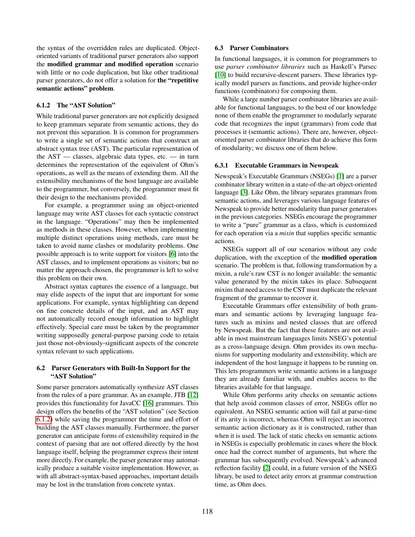the syntax of the overridden rules are duplicated. Objectoriented variants of traditional parser generators also support the modified grammar and modified operation scenario with little or no code duplication, but like other traditional parser generators, do not offer a solution for the "repetitive semantic actions" problem.

#### <span id="page-10-0"></span>6.1.2 The "AST Solution"

While traditional parser generators are not explicitly designed to keep grammars separate from semantic actions, they do not prevent this separation. It is common for programmers to write a single set of semantic actions that construct an abstract syntax tree (AST). The particular representation of the AST — classes, algebraic data types, etc. — in turn determines the representation of the equivalent of Ohm's operations, as well as the means of extending them. All the extensibility mechanisms of the host language are available to the programmer, but conversely, the programmer must fit their design to the mechanisms provided.

For example, a programmer using an object-oriented language may write AST classes for each syntactic construct in the language. "Operations" may then be implemented as methods in these classes. However, when implementing multiple distinct operations using methods, care must be taken to avoid name clashes or modularity problems. One possible approach is to write support for visitors [\[6\]](#page-11-10) into the AST classes, and to implement operations as visitors; but no matter the approach chosen, the programmer is left to solve this problem on their own.

Abstract syntax captures the essence of a language, but may elide aspects of the input that are important for some applications. For example, syntax highlighting can depend on fine concrete details of the input, and an AST may not automatically record enough information to highlight effectively. Special care must be taken by the programmer writing supposedly general-purpose parsing code to retain just those not-obviously-significant aspects of the concrete syntax relevant to such applications.

## 6.2 Parser Generators with Built-In Support for the "AST Solution"

Some parser generators automatically synthesize AST classes from the rules of a pure grammar. As an example, JTB [\[12\]](#page-11-12) provides this functionality for JavaCC [\[16\]](#page-11-13) grammars. This design offers the benefits of the "AST solution" (see Section [6.1.2\)](#page-10-0) while saving the programmer the time and effort of building the AST classes manually. Furthermore, the parser generator can anticipate forms of extensibility required in the context of parsing that are not offered directly by the host language itself, helping the programmer express their intent more directly. For example, the parser generator may automatically produce a suitable visitor implementation. However, as with all abstract-syntax-based approaches, important details may be lost in the translation from concrete syntax.

#### 6.3 Parser Combinators

In functional languages, it is common for programmers to use *parser combinator libraries* such as Haskell's Parsec [\[10\]](#page-11-14) to build recursive-descent parsers. These libraries typically model parsers as functions, and provide higher-order functions (combinators) for composing them.

While a large number parser combinator libraries are available for functional languages, to the best of our knowledge none of them enable the programmer to modularly separate code that recognizes the input (grammars) from code that processes it (semantic actions). There are, however, objectoriented parser combinator libraries that do achieve this form of modularity; we discuss one of them below.

### 6.3.1 Executable Grammars in Newspeak

Newspeak's Executable Grammars (NSEGs) [\[1\]](#page-11-6) are a parser combinator library written in a state-of-the-art object-oriented language [\[3\]](#page-11-15). Like Ohm, the library separates grammars from semantic actions, and leverages various language features of Newspeak to provide better modularity than parser generators in the previous categories. NSEGs encourage the programmer to write a "pure" grammar as a class, which is customized for each operation via a *mixin* that supplies specific semantic actions.

NSEGs support all of our scenarios without any code duplication, with the exception of the modified operation scenario. The problem is that, following transformation by a mixin, a rule's raw CST is no longer available: the semantic value generated by the mixin takes its place. Subsequent mixins that need access to the CST must duplicate the relevant fragment of the grammar to recover it.

Executable Grammars offer extensibility of both grammars and semantic actions by leveraging language features such as mixins and nested classes that are offered by Newspeak. But the fact that these features are not available in most mainstream languages limits NSEG's potential as a cross-language design. Ohm provides its own mechanisms for supporting modularity and extensibility, which are independent of the host language it happens to be running on. This lets programmers write semantic actions in a language they are already familiar with, and enables access to the libraries available for that language.

While Ohm performs arity checks on semantic actions that help avoid common classes of error, NSEGs offer no equivalent. An NSEG semantic action will fail at parse-time if its arity is incorrect, whereas Ohm will reject an incorrect semantic action dictionary as it is constructed, rather than when it is used. The lack of static checks on semantic actions in NSEGs is especially problematic in cases where the block once had the correct number of arguments, but where the grammar has subsequently evolved. Newspeak's advanced reflection facility [\[2\]](#page-11-16) could, in a future version of the NSEG library, be used to detect arity errors at grammar construction time, as Ohm does.